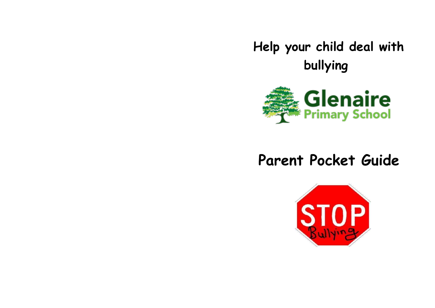**Help your child deal with bullying**



# **Parent Pocket Guide**

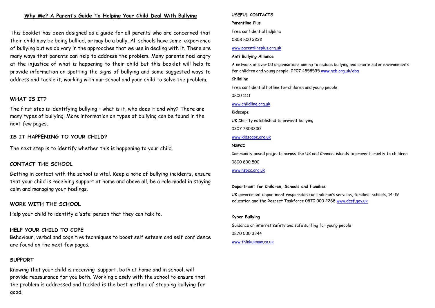### **Why Me? A Parent's Guide To Helping Your Child Deal With Bullying**

This booklet has been designed as a guide for all parents who are concerned that their child may be being bullied, or may be a bully. All schools have some experience of bullying but we do vary in the approaches that we use in dealing with it. There are many ways that parents can help to address the problem. Many parents feel angry at the injustice of what is happening to their child but this booklet will help to provide information on spotting the signs of bullying and some suggested ways to address and tackle it, working with our school and your child to solve the problem.

### **WHAT IS IT?**

The first step is identifying bullying – what is it, who does it and why? There are many types of bullying. More information on types of bullying can be found in the next few pages.

### **IS IT HAPPENING TO YOUR CHILD?**

The next step is to identify whether this is happening to your child.

### **CONTACT THE SCHOOL**

Getting in contact with the school is vital. Keep a note of bullying incidents, ensure that your child is receiving support at home and above all, be a role model in staying calm and managing your feelings.

### **WORK WITH THE SCHOOL**

Help your child to identify a 'safe' person that they can talk to.

# **HELP YOUR CHILD TO COPE**

Behaviour, verbal and cognitive techniques to boost self esteem and self confidence are found on the next few pages.

# **SUPPORT**

Knowing that your child is receiving support, both at home and in school, will provide reassurance for you both. Working closely with the school to ensure that the problem is addressed and tackled is the best method of stopping bullying for good.

#### **USEFUL CONTACTS**

#### **Parentline Plus**

Free confidential helpline

0808 800 2222

### [www.parentlineplus.org.uk](http://www.parentlineplus.org.uk/)

#### **Anti Bullying Alliance**

A network of over 50 organisations aiming to reduce bullying and create safer environments for children and young people. 0207 485853[5 www.ncb.org.uk/aba](http://www.ncb.org.uk/aba)

#### **Childline**

Free confidential hotline for children and young people

0800 1111

### [www.childline.org.uk](http://www.childline.org.uk/)

#### **Kidscape**

UK Charity established to prevent bullying

0207 7303300

### [www.kidscape.org.uk](http://www.kidscape.org.uk/)

### **NSPCC**

Community based projects across the UK and Channel islands to prevent cruelty to children 0800 800 500

### [www.nspcc.org.uk](http://www.nspcc.org.uk/)

#### **Department for Children, Schools and Families**

UK government department responsible for children's services, families, schools, 14-19 education and the Respect Taskforce 0870 000 228[8 www.dcsf.gov.uk](http://www.dcsf.gov.uk/)

# **Cyber Bullying**

Guidance on internet safety and safe surfing for young people 0870 000 3344

[www.thinkuknow.co.uk](http://www.thinkuknow.co.uk/)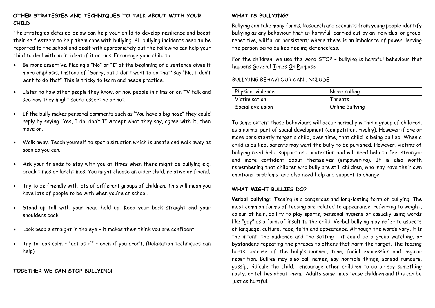# **OTHER STRATEGIES AND TECHNIQUES TO TALK ABOUT WITH YOUR CHILD**

The strategies detailed below can help your child to develop resilience and boost their self esteem to help them cope with bullying. All bullying incidents need to be reported to the school and dealt with appropriately but the following can help your child to deal with an incident if it occurs. Encourage your child to:

- Be more assertive. Placing a "No" or "I" at the beginning of a sentence gives it more emphasis. Instead of "Sorry, but I don't want to do that" say "No, I don't want to do that" This is tricky to learn and needs practice.
- Listen to how other people they know, or how people in films or on TV talk and see how they might sound assertive or not.
- If the bully makes personal comments such as "You have a big nose" they could reply by saying "Yes, I do, don't I" Accept what they say, agree with it, then move on.
- Walk away. Teach yourself to spot a situation which is unsafe and walk away as soon as you can.
- Ask your friends to stay with you at times when there might be bullying e.g. break times or lunchtimes. You might choose an older child, relative or friend.
- Try to be friendly with lots of different groups of children. This will mean you have lots of people to be with when you're at school.
- Stand up tall with your head held up. Keep your back straight and your shoulders back.
- Look people straight in the eye it makes them think you are confident.
- Try to look calm "act as if" even if you aren't. (Relaxation techniques can help).

# **TOGETHER WE CAN STOP BULLYING!**

# **WHAT IS BULLYING?**

Bullying can take many forms. Research and accounts from young people identify bullying as any behaviour that is: harmful; carried out by an individual or group; repetitive, willful or persistent; where there is an imbalance of power, leaving the person being bullied feeling defenceless.

For the children, we use the word STOP – bullying is harmful behaviour that happens **S**everal **T**imes **O**n **P**urpose

### BULLYING BEHAVIOUR CAN INCLUDE

| Physical violence | Name calling    |
|-------------------|-----------------|
| Victimisation     | Threats         |
| Social exclusion  | Online Bullying |

To some extent these behaviours will occur normally within a group of children, as a normal part of social development (competition, rivalry). However if one or more persistently target a child, over time, that child is being bullied. When a child is bullied, parents may want the bully to be punished. However, victims of bullying need help, support and protection and will need help to feel stronger and more confident about themselves (empowering). It is also worth remembering that children who bully are still children, who may have their own emotional problems, and also need help and support to change.

### **WHAT MIGHT BULLIES DO?**

**Verbal bullying:** Teasing is a dangerous and long-lasting form of bullying. The most common forms of teasing are related to appearance, referring to weight, colour of hair, ability to play sports, personal hygiene or casually using words like "gay" as a form of insult to the child. Verbal bullying may refer to aspects of language, culture, race, faith and appearance. Although the words vary, it is the intent, the audience and the setting - it could be a group watching, or bystanders repeating the phrases to others that harm the target. The teasing hurts because of the bully's manner, tone, facial expression and regular repetition. Bullies may also call names, say horrible things, spread rumours, gossip, ridicule the child, encourage other children to do or say something nasty, or tell lies about them. Adults sometimes tease children and this can be just as hurtful.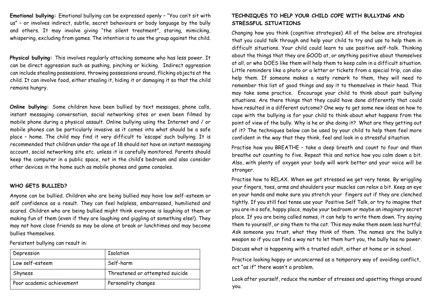**Emotional bullying:** Emotional bullying can be expressed openly – "You can't sit with us" – or involves indirect, subtle, secret behaviours or body language by the bully and others. It may involve giving "the silent treatment", staring, mimicking, whispering, excluding from games. The intention is to use the group against the child.

**Physical bullying:** This involves regularly attacking someone who has less power. It can be direct aggression such as pushing, pinching or kicking. Indirect aggression can include stealing possessions, throwing possessions around, flicking objects at the child. It can involve food, either stealing it, hiding it or damaging it so that the child remains hungry.

**Online bullying:** Some children have been bullied by text messages, phone calls, instant messaging conversation, social networking sites or even been filmed by mobile phone during a physical assault. Online bullying using the Internet and / or mobile phones can be particularly invasive as it comes into what should be a safe place – home. The child may find it very difficult to 'escape' such bullying. It is recommended that children under the age of 18 should not have an instant messaging account, social networking site etc. unless it is carefully monitored. Parents should keep the computer in a public space, not in the child's bedroom and also consider other devices in the home such as mobile phones and game consoles.

### **WHO GETS BULLIED?**

Anyone can be bullied. Children who are being bullied may have low self-esteem or self confidence as a result. They can feel helpless, embarrassed, humiliated and scared. Children who are being bullied might think everyone is laughing at them or making fun of them (even if they are laughing and giggling at something else!). They may not have close friends so may be alone at break or lunchtimes and may become bullies themselves.

Persistent bullying can result in:

| Depression                | Isolation                       |
|---------------------------|---------------------------------|
| Low self-esteem           | Self-harm                       |
| Shyness                   | Threatened or attempted suicide |
| Poor academic achievement | Personality changes             |

# **TECHNIQUES TO HELP YOUR CHILD COPE WITH BULLYING AND STRESSFUL SITUATIONS**

Changing how you think (cognitive strategies) All of the below are strategies that you could talk through and help your child to try and use to help them in difficult situations. Your child could learn to use positive self-talk. Thinking about the things that they are GOOD at, or anything positive about themselves at all, or who DOES like them will help them to keep calm in a difficult situation. Little reminders like a photo or a letter or tickets from a special trip, can also help them. If someone makes a nasty remark to them, they will need to remember this list of good things and say it to themselves in their head. This may take some practice. Encourage your child to think about past bullying situations. Are there things that they could have done differently that could have resulted in a different outcome? One way to get some new ideas on how to cope with the bullying is for your child to think about what happens from the point of view of the bully. Why is he or she doing it? What are they getting out of it? The techniques below can be used by your child to help them feel more confident in the way that they think, feel and look in a stressful situation.

Practise how you BREATHE – take a deep breath and count to four and then breathe out counting to five. Repeat this and notice how you calm down a bit. Also, with plenty of oxygen your body will work better and your voice will be stronger.

Practise how to RELAX. When we get stressed we get very tense. By wriggling your fingers, toes, arms and shoulders your muscles can relax a bit. Keep an eye on your hands and make sure you stretch your fingers out if they are clenched tightly. If you still feel tense use your Positive Self Talk, or try to imagine that you are in a safe, happy place, maybe your bedroom or maybe an imaginary secret place. If you are being called names, it can help to write them down. Try saying them to yourself, or sing them to the cat. This may make them seem less hurtful. Ask someone you trust, what they think of them. The names are the bully's weapon so if you can find a way not to let them hurt you, the bully has no power.

Discuss what is happening with a trusted adult, either at home or in school.

Practice looking happy or unconcerned as a temporary way of avoiding conflict, act "as if" there wasn't a problem.

Look after yourself, reduce the number of stresses and upsetting things around you.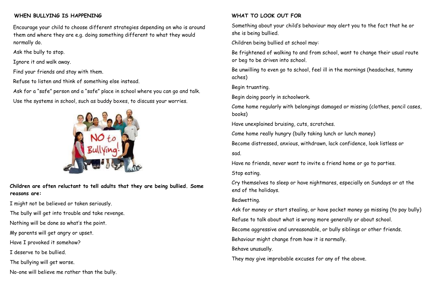# **WHEN BULLYING IS HAPPENING**

Encourage your child to choose different strategies depending on who is around them and where they are e.g. doing something different to what they would normally do.

Ask the bully to stop.

Ignore it and walk away.

Find your friends and stay with them.

Refuse to listen and think of something else instead.

Ask for a "safe" person and a "safe" place in school where you can go and talk. Use the systems in school, such as buddy boxes, to discuss your worries.



**Children are often reluctant to tell adults that they are being bullied. Some reasons are:** 

I might not be believed or taken seriously.

The bully will get into trouble and take revenge.

Nothing will be done so what's the point.

My parents will get angry or upset.

Have I provoked it somehow?

I deserve to be bullied.

The bullying will get worse.

No-one will believe me rather than the bully.

# **WHAT TO LOOK OUT FOR**

Something about your child's behaviour may alert you to the fact that he or she is being bullied.

Children being bullied at school may:

Be frightened of walking to and from school, want to change their usual route or beg to be driven into school.

Be unwilling to even go to school, feel ill in the mornings (headaches, tummy aches)

Begin truanting.

Begin doing poorly in schoolwork.

Come home regularly with belongings damaged or missing (clothes, pencil cases, books)

Have unexplained bruising, cuts, scratches.

Come home really hungry (bully taking lunch or lunch money)

Become distressed, anxious, withdrawn, lack confidence, look listless or sad.

Have no friends, never want to invite a friend home or go to parties.

Stop eating.

Cry themselves to sleep or have nightmares, especially on Sundays or at the end of the holidays.

# Bedwetting.

Ask for money or start stealing, or have pocket money go missing (to pay bully)

Refuse to talk about what is wrong more generally or about school.

Become aggressive and unreasonable, or bully siblings or other friends.

Behaviour might change from how it is normally.

Behave unusually.

They may give improbable excuses for any of the above.